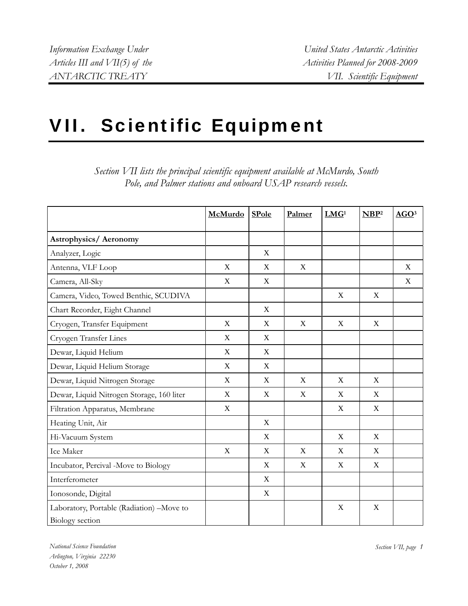# VII. Scientific Equipment

|                                           | McMurdo     | <b>SPole</b> | Palmer | LMG <sup>1</sup>          | NBP <sup>2</sup> | AGO <sup>3</sup> |
|-------------------------------------------|-------------|--------------|--------|---------------------------|------------------|------------------|
|                                           |             |              |        |                           |                  |                  |
| <b>Astrophysics/ Aeronomy</b>             |             |              |        |                           |                  |                  |
| Analyzer, Logic                           |             | $\mathbf X$  |        |                           |                  |                  |
| Antenna, VLF Loop                         | X           | X            | X      |                           |                  | X                |
| Camera, All-Sky                           | X           | X            |        |                           |                  | X                |
| Camera, Video, Towed Benthic, SCUDIVA     |             |              |        | X                         | X                |                  |
| Chart Recorder, Eight Channel             |             | $\mathbf X$  |        |                           |                  |                  |
| Cryogen, Transfer Equipment               | X           | X            | X      | X                         | $\mathbf X$      |                  |
| Cryogen Transfer Lines                    | X           | $\mathbf X$  |        |                           |                  |                  |
| Dewar, Liquid Helium                      | X           | X            |        |                           |                  |                  |
| Dewar, Liquid Helium Storage              | X           | X            |        |                           |                  |                  |
| Dewar, Liquid Nitrogen Storage            | X           | X            | X      | X                         | X                |                  |
| Dewar, Liquid Nitrogen Storage, 160 liter | X           | X            | X      | X                         | X                |                  |
| Filtration Apparatus, Membrane            | $\mathbf X$ |              |        | $\boldsymbol{\mathrm{X}}$ | $\mathbf X$      |                  |
| Heating Unit, Air                         |             | $\mathbf X$  |        |                           |                  |                  |
| Hi-Vacuum System                          |             | X            |        | X                         | X                |                  |
| Ice Maker                                 | $\mathbf X$ | $\mathbf X$  | X      | X                         | $\mathbf X$      |                  |
| Incubator, Percival -Move to Biology      |             | X            | X      | X                         | $\mathbf X$      |                  |
| Interferometer                            |             | X            |        |                           |                  |                  |
| Ionosonde, Digital                        |             | X            |        |                           |                  |                  |
| Laboratory, Portable (Radiation) -Move to |             |              |        | X                         | X                |                  |
| Biology section                           |             |              |        |                           |                  |                  |

*Section VII lists the principal scientific equipment available at McMurdo, South Pole, and Palmer stations and onboard USAP research vessels.* 

*National Science Foundation* Section VII, page 1 *Arlington, Virginia 22230 October 1, 2008*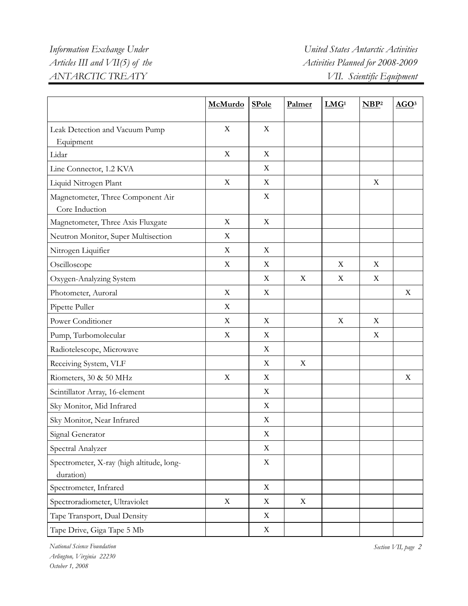|                                                        | McMurdo          | <b>SPole</b>              | Palmer | LMG <sup>1</sup> | NBP <sup>2</sup> | AGO <sup>3</sup> |
|--------------------------------------------------------|------------------|---------------------------|--------|------------------|------------------|------------------|
| Leak Detection and Vacuum Pump                         | X                | X                         |        |                  |                  |                  |
| Equipment                                              |                  |                           |        |                  |                  |                  |
| Lidar                                                  | $\mathbf X$      | X                         |        |                  |                  |                  |
| Line Connector, 1.2 KVA                                |                  | X                         |        |                  |                  |                  |
| Liquid Nitrogen Plant                                  | X                | X                         |        |                  | $\mathbf X$      |                  |
| Magnetometer, Three Component Air<br>Core Induction    |                  | X                         |        |                  |                  |                  |
| Magnetometer, Three Axis Fluxgate                      | X                | $\mathbf X$               |        |                  |                  |                  |
| Neutron Monitor, Super Multisection                    | X                |                           |        |                  |                  |                  |
| Nitrogen Liquifier                                     | $\mathbf X$      | $\mathbf X$               |        |                  |                  |                  |
| Oscilloscope                                           | $\mathbf X$      | $\mathbf X$               |        | $\mathbf X$      | X                |                  |
| Oxygen-Analyzing System                                |                  | X                         | X      | $\mathbf X$      | $\mathbf X$      |                  |
| Photometer, Auroral                                    | $\mathbf X$      | $\mathbf X$               |        |                  |                  | $\boldsymbol{X}$ |
| Pipette Puller                                         | X                |                           |        |                  |                  |                  |
| Power Conditioner                                      | X                | X                         |        | $\mathbf X$      | X                |                  |
| Pump, Turbomolecular                                   | $\mathbf X$      | $\mathbf X$               |        |                  | X                |                  |
| Radiotelescope, Microwave                              |                  | X                         |        |                  |                  |                  |
| Receiving System, VLF                                  |                  | X                         | X      |                  |                  |                  |
| Riometers, 30 & 50 MHz                                 | $\boldsymbol{X}$ | X                         |        |                  |                  | $\boldsymbol{X}$ |
| Scintillator Array, 16-element                         |                  | X                         |        |                  |                  |                  |
| Sky Monitor, Mid Infrared                              |                  | $\mathbf X$               |        |                  |                  |                  |
| Sky Monitor, Near Infrared                             |                  | $\mathbf X$               |        |                  |                  |                  |
| Signal Generator                                       |                  | $\mathbf X$               |        |                  |                  |                  |
| Spectral Analyzer                                      |                  | $\mathbf X$               |        |                  |                  |                  |
| Spectrometer, X-ray (high altitude, long-<br>duration) |                  | $\mathbf X$               |        |                  |                  |                  |
| Spectrometer, Infrared                                 |                  | $\boldsymbol{\mathrm{X}}$ |        |                  |                  |                  |
| Spectroradiometer, Ultraviolet                         | $\mathbf X$      | $\boldsymbol{\mathrm{X}}$ | X      |                  |                  |                  |
| Tape Transport, Dual Density                           |                  | $\boldsymbol{\mathrm{X}}$ |        |                  |                  |                  |
| Tape Drive, Giga Tape 5 Mb                             |                  | $\mathbf X$               |        |                  |                  |                  |

*National Science Foundation Section VII, page 2 Arlington, Virginia 22230 October 1, 2008*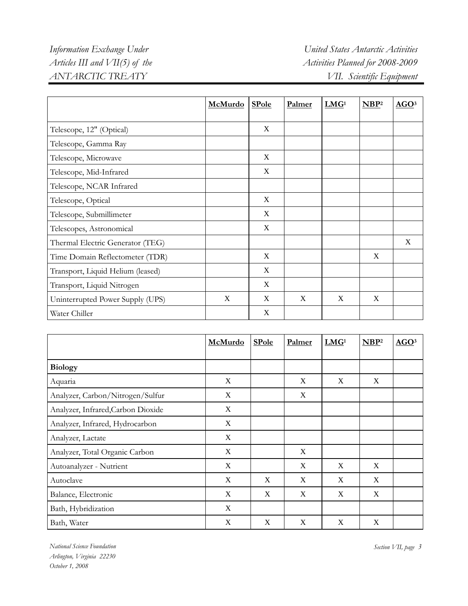|                                   | <b>McMurdo</b> | <b>SPole</b> | Palmer | LMG <sup>1</sup> | NBP <sup>2</sup> | AGO <sup>3</sup> |
|-----------------------------------|----------------|--------------|--------|------------------|------------------|------------------|
|                                   |                |              |        |                  |                  |                  |
| Telescope, 12" (Optical)          |                | X            |        |                  |                  |                  |
| Telescope, Gamma Ray              |                |              |        |                  |                  |                  |
| Telescope, Microwave              |                | X            |        |                  |                  |                  |
| Telescope, Mid-Infrared           |                | X            |        |                  |                  |                  |
| Telescope, NCAR Infrared          |                |              |        |                  |                  |                  |
| Telescope, Optical                |                | X            |        |                  |                  |                  |
| Telescope, Submillimeter          |                | $\mathbf X$  |        |                  |                  |                  |
| Telescopes, Astronomical          |                | $\mathbf X$  |        |                  |                  |                  |
| Thermal Electric Generator (TEG)  |                |              |        |                  |                  | X                |
| Time Domain Reflectometer (TDR)   |                | $\mathbf X$  |        |                  | X                |                  |
| Transport, Liquid Helium (leased) |                | X            |        |                  |                  |                  |
| Transport, Liquid Nitrogen        |                | X            |        |                  |                  |                  |
| Uninterrupted Power Supply (UPS)  | $\mathbf X$    | $\mathbf X$  | X      | X                | $\mathbf X$      |                  |
| Water Chiller                     |                | X            |        |                  |                  |                  |

|                                    | McMurdo | <b>SPole</b> | Palmer | LMG <sup>1</sup> | NBP <sup>2</sup> | AGO <sup>3</sup> |
|------------------------------------|---------|--------------|--------|------------------|------------------|------------------|
|                                    |         |              |        |                  |                  |                  |
| <b>Biology</b>                     |         |              |        |                  |                  |                  |
| Aquaria                            | X       |              | X      | X                | X                |                  |
| Analyzer, Carbon/Nitrogen/Sulfur   | X       |              | X      |                  |                  |                  |
| Analyzer, Infrared, Carbon Dioxide | X       |              |        |                  |                  |                  |
| Analyzer, Infrared, Hydrocarbon    | X       |              |        |                  |                  |                  |
| Analyzer, Lactate                  | X       |              |        |                  |                  |                  |
| Analyzer, Total Organic Carbon     | X       |              | X      |                  |                  |                  |
| Autoanalyzer - Nutrient            | X       |              | X      | X                | X                |                  |
| Autoclave                          | X       | X            | X      | X                | X                |                  |
| Balance, Electronic                | X       | X            | X      | X                | X                |                  |
| Bath, Hybridization                | X       |              |        |                  |                  |                  |
| Bath, Water                        | X       | X            | X      | X                | X                |                  |

*National Science Foundation Section VII, page 3 Arlington, Virginia 22230 October 1, 2008*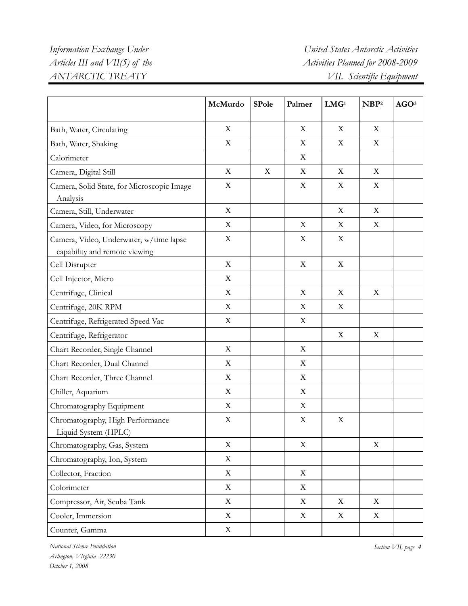|                                                                          | McMurdo     | <b>SPole</b> | Palmer           | LMG <sup>1</sup> | NBP <sup>2</sup> | AGO <sup>3</sup> |
|--------------------------------------------------------------------------|-------------|--------------|------------------|------------------|------------------|------------------|
| Bath, Water, Circulating                                                 | X           |              | X                | X                | X                |                  |
| Bath, Water, Shaking                                                     | $\mathbf X$ |              | X                | X                | X                |                  |
| Calorimeter                                                              |             |              | X                |                  |                  |                  |
| Camera, Digital Still                                                    | $\mathbf X$ | X            | X                | X                | X                |                  |
| Camera, Solid State, for Microscopic Image<br>Analysis                   | $\mathbf X$ |              | X                | $\mathbf X$      | X                |                  |
| Camera, Still, Underwater                                                | X           |              |                  | X                | X                |                  |
| Camera, Video, for Microscopy                                            | X           |              | X                | X                | X                |                  |
| Camera, Video, Underwater, w/time lapse<br>capability and remote viewing | X           |              | $\boldsymbol{X}$ | X                |                  |                  |
| Cell Disrupter                                                           | $\mathbf X$ |              | $\mathbf X$      | $\mathbf X$      |                  |                  |
| Cell Injector, Micro                                                     | X           |              |                  |                  |                  |                  |
| Centrifuge, Clinical                                                     | X           |              | X                | X                | $\boldsymbol{X}$ |                  |
| Centrifuge, 20K RPM                                                      | X           |              | X                | $\mathbf X$      |                  |                  |
| Centrifuge, Refrigerated Speed Vac                                       | X           |              | X                |                  |                  |                  |
| Centrifuge, Refrigerator                                                 |             |              |                  | X                | X                |                  |
| Chart Recorder, Single Channel                                           | X           |              | X                |                  |                  |                  |
| Chart Recorder, Dual Channel                                             | X           |              | X                |                  |                  |                  |
| Chart Recorder, Three Channel                                            | X           |              | X                |                  |                  |                  |
| Chiller, Aquarium                                                        | X           |              | X                |                  |                  |                  |
| Chromatography Equipment                                                 | $\mathbf X$ |              | X                |                  |                  |                  |
| Chromatography, High Performance<br>Liquid System (HPLC)                 | $\mathbf X$ |              | X                | $\mathbf X$      |                  |                  |
| Chromatography, Gas, System                                              | $\mathbf X$ |              | $\mathbf X$      |                  | $\mathbf X$      |                  |
| Chromatography, Ion, System                                              | X           |              |                  |                  |                  |                  |
| Collector, Fraction                                                      | $\mathbf X$ |              | X                |                  |                  |                  |
| Colorimeter                                                              | X           |              | X                |                  |                  |                  |
| Compressor, Air, Scuba Tank                                              | $\mathbf X$ |              | X                | X                | X                |                  |
| Cooler, Immersion                                                        | $\mathbf X$ |              | X                | X                | $\mathbf X$      |                  |
| Counter, Gamma                                                           | $\mathbf X$ |              |                  |                  |                  |                  |

*National Science Foundation Section VII, page 4 Arlington, Virginia 22230 October 1, 2008*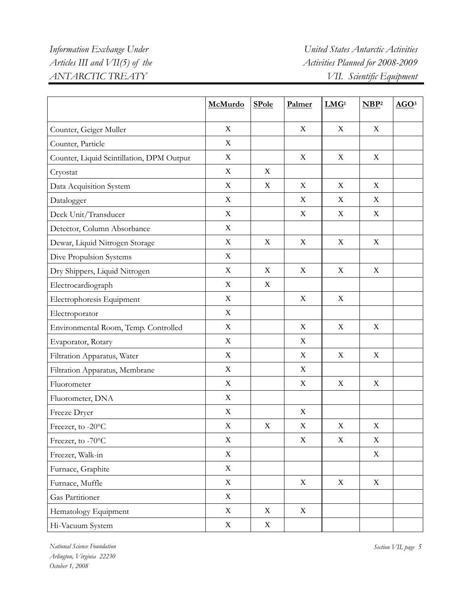|                                           | McMurdo                   | <b>SPole</b> | Palmer                    | LMG <sup>1</sup>          | NBP <sup>2</sup> | AGO <sup>3</sup> |
|-------------------------------------------|---------------------------|--------------|---------------------------|---------------------------|------------------|------------------|
| Counter, Geiger Muller                    | $\mathbf X$               |              | $\boldsymbol{X}$          | X                         | X                |                  |
| Counter, Particle                         | $\mathbf X$               |              |                           |                           |                  |                  |
| Counter, Liquid Scintillation, DPM Output | $\mathbf X$               |              | X                         | $\mathbf X$               | X                |                  |
| Cryostat                                  | $\mathbf X$               | X            |                           |                           |                  |                  |
| Data Acquisition System                   | $\mathbf X$               | $\mathbf X$  | $\mathbf X$               | $\mathbf X$               | $\mathbf X$      |                  |
| Datalogger                                | $\mathbf X$               |              | X                         | X                         | X                |                  |
| Deck Unit/Transducer                      | $\mathbf X$               |              | $\mathbf X$               | X                         | $\mathbf X$      |                  |
| Detector, Column Absorbance               | $\mathbf X$               |              |                           |                           |                  |                  |
| Dewar, Liquid Nitrogen Storage            | X                         | X            | $\boldsymbol{\mathrm{X}}$ | $\boldsymbol{X}$          | $\mathbf X$      |                  |
| Dive Propulsion Systems                   | $\mathbf X$               |              |                           |                           |                  |                  |
| Dry Shippers, Liquid Nitrogen             | X                         | X            | $\boldsymbol{\mathrm{X}}$ | X                         | X                |                  |
| Electrocardiograph                        | X                         | X            |                           |                           |                  |                  |
| Electrophoresis Equipment                 | $\mathbf X$               |              | X                         | X                         |                  |                  |
| Electroporator                            | $\mathbf X$               |              |                           |                           |                  |                  |
| Environmental Room, Temp. Controlled      | $\mathbf X$               |              | $\mathbf X$               | $\mathbf X$               | $\mathbf X$      |                  |
| Evaporator, Rotary                        | $\mathbf X$               |              | X                         |                           |                  |                  |
| Filtration Apparatus, Water               | $\mathbf X$               |              | $\mathbf X$               | $\mathbf X$               | $\mathbf X$      |                  |
| Filtration Apparatus, Membrane            | $\mathbf X$               |              | X                         |                           |                  |                  |
| Fluorometer                               | $\mathbf X$               |              | $\mathbf X$               | $\mathbf X$               | $\mathbf X$      |                  |
| Fluorometer, DNA                          | $\mathbf X$               |              |                           |                           |                  |                  |
| Freeze Dryer                              | $\boldsymbol{\mathrm{X}}$ |              | X                         |                           |                  |                  |
| Freezer, to -20°C                         | $\mathbf X$               | X            | $\boldsymbol{\mathrm{X}}$ | $\boldsymbol{\mathrm{X}}$ | $\mathbf X$      |                  |
| Freezer, to -70°C                         | X                         |              | X                         | X                         | X                |                  |
| Freezer, Walk-in                          | $\mathbf X$               |              |                           |                           | $\mathbf X$      |                  |
| Furnace, Graphite                         | X                         |              |                           |                           |                  |                  |
| Furnace, Muffle                           | $\mathbf X$               |              | $\mathbf X$               | X                         | $\mathbf X$      |                  |
| Gas Partitioner                           | X                         |              |                           |                           |                  |                  |
| Hematology Equipment                      | $\mathbf X$               | $\mathbf X$  | $\mathbf X$               |                           |                  |                  |
| Hi-Vacuum System                          | $\mathbf X$               | $\mathbf X$  |                           |                           |                  |                  |

*National Science Foundation Section VII, page 5 Arlington, Virginia 22230 October 1, 2008*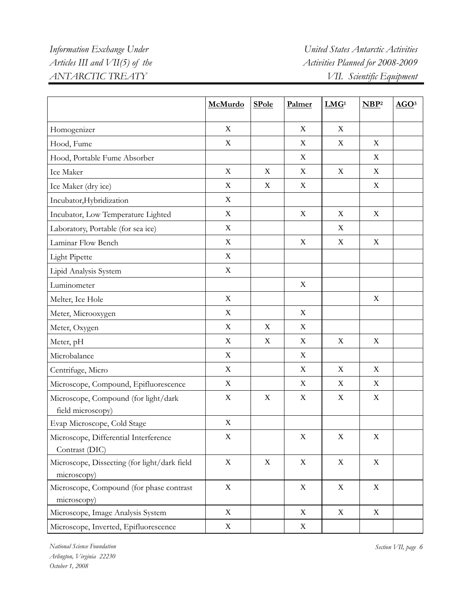|                                                             | McMurdo                   | <b>SPole</b> | Palmer                    | LMG <sup>1</sup> | NBP <sup>2</sup> | AGO <sup>3</sup> |
|-------------------------------------------------------------|---------------------------|--------------|---------------------------|------------------|------------------|------------------|
| Homogenizer                                                 | X                         |              | X                         | X                |                  |                  |
| Hood, Fume                                                  | $\mathbf X$               |              | X                         | X                | X                |                  |
| Hood, Portable Fume Absorber                                |                           |              | $\boldsymbol{\mathrm{X}}$ |                  | X                |                  |
| Ice Maker                                                   | $\mathbf X$               | X            | $\mathbf X$               | $\mathbf X$      | $\mathbf X$      |                  |
| Ice Maker (dry ice)                                         | $\mathbf X$               | X            | X                         |                  | $\mathbf X$      |                  |
| Incubator, Hybridization                                    | $\mathbf X$               |              |                           |                  |                  |                  |
| Incubator, Low Temperature Lighted                          | $\mathbf X$               |              | $\mathbf X$               | $\mathbf X$      | $\mathbf X$      |                  |
| Laboratory, Portable (for sea ice)                          | $\mathbf X$               |              |                           | X                |                  |                  |
| Laminar Flow Bench                                          | $\mathbf X$               |              | $\mathbf X$               | $\mathbf X$      | X                |                  |
| <b>Light Pipette</b>                                        | $\mathbf X$               |              |                           |                  |                  |                  |
| Lipid Analysis System                                       | $\mathbf X$               |              |                           |                  |                  |                  |
| Luminometer                                                 |                           |              | $\mathbf X$               |                  |                  |                  |
| Melter, Ice Hole                                            | $\mathbf X$               |              |                           |                  | $\mathbf X$      |                  |
| Meter, Microoxygen                                          | $\mathbf X$               |              | $\mathbf X$               |                  |                  |                  |
| Meter, Oxygen                                               | $\boldsymbol{\mathrm{X}}$ | X            | $\boldsymbol{\mathrm{X}}$ |                  |                  |                  |
| Meter, pH                                                   | $\mathbf X$               | X            | $\mathbf X$               | $\mathbf X$      | $\mathbf X$      |                  |
| Microbalance                                                | $\mathbf X$               |              | $\boldsymbol{\mathrm{X}}$ |                  |                  |                  |
| Centrifuge, Micro                                           | $\mathbf X$               |              | $\mathbf X$               | $\mathbf X$      | $\mathbf X$      |                  |
| Microscope, Compound, Epifluorescence                       | $\mathbf X$               |              | $\mathbf X$               | X                | X                |                  |
| Microscope, Compound (for light/dark<br>field microscopy)   | $\mathbf X$               | X            | $\boldsymbol{\mathrm{X}}$ | $\mathbf X$      | $\mathbf X$      |                  |
| Evap Microscope, Cold Stage                                 | $\mathbf X$               |              |                           |                  |                  |                  |
| Microscope, Differential Interference<br>Contrast (DIC)     | X                         |              | $\mathbf X$               | $\mathbf X$      | $\mathbf X$      |                  |
| Microscope, Dissecting (for light/dark field<br>microscopy) | $\mathbf X$               | $\mathbf X$  | $\mathbf X$               | $\mathbf X$      | $\mathbf X$      |                  |
| Microscope, Compound (for phase contrast<br>microscopy)     | $\boldsymbol{\mathrm{X}}$ |              | X                         | X                | X                |                  |
| Microscope, Image Analysis System                           | $\mathbf X$               |              | $\mathbf X$               | $\mathbf X$      | $\mathbf X$      |                  |
| Microscope, Inverted, Epifluorescence                       | $\mathbf X$               |              | X                         |                  |                  |                  |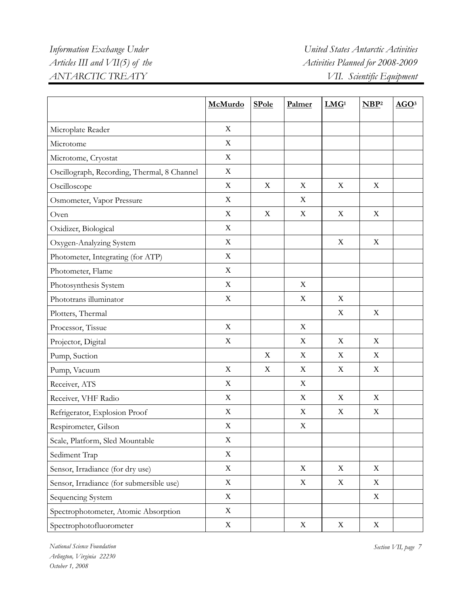## *Information Exchange Under United States Antarctic Activities Articles III and VII(5) of the* Activities Planned for 2008-2009 *ANTARCTIC TREATY VII. Scientific Equipment*

|                                             | McMurdo                   | <b>SPole</b> | Palmer           | LMG <sup>1</sup> | NBP <sup>2</sup> | AGO <sup>3</sup> |
|---------------------------------------------|---------------------------|--------------|------------------|------------------|------------------|------------------|
| Microplate Reader                           | X                         |              |                  |                  |                  |                  |
| Microtome                                   | $\mathbf X$               |              |                  |                  |                  |                  |
| Microtome, Cryostat                         | $\mathbf X$               |              |                  |                  |                  |                  |
| Oscillograph, Recording, Thermal, 8 Channel | $\mathbf X$               |              |                  |                  |                  |                  |
| Oscilloscope                                | $\mathbf X$               | $\mathbf X$  | $\mathbf X$      | $\mathbf X$      | $\mathbf X$      |                  |
| Osmometer, Vapor Pressure                   | $\mathbf X$               |              | $\mathbf X$      |                  |                  |                  |
| Oven                                        | $\mathbf X$               | $\mathbf X$  | $\mathbf X$      | $\mathbf X$      | $\mathbf X$      |                  |
| Oxidizer, Biological                        | $\mathbf X$               |              |                  |                  |                  |                  |
| Oxygen-Analyzing System                     | $\mathbf X$               |              |                  | X                | $\mathbf X$      |                  |
| Photometer, Integrating (for ATP)           | $\mathbf X$               |              |                  |                  |                  |                  |
| Photometer, Flame                           | $\mathbf X$               |              |                  |                  |                  |                  |
| Photosynthesis System                       | $\mathbf X$               |              | X                |                  |                  |                  |
| Phototrans illuminator                      | X                         |              | X                | $\boldsymbol{X}$ |                  |                  |
| Plotters, Thermal                           |                           |              |                  | X                | X                |                  |
| Processor, Tissue                           | $\mathbf X$               |              | X                |                  |                  |                  |
| Projector, Digital                          | $\mathbf X$               |              | X                | X                | $\mathbf X$      |                  |
| Pump, Suction                               |                           | X            | $\mathbf X$      | $\mathbf X$      | $\mathbf X$      |                  |
| Pump, Vacuum                                | $\mathbf X$               | $\mathbf X$  | $\mathbf X$      | $\mathbf X$      | $\mathbf X$      |                  |
| Receiver, ATS                               | $\mathbf X$               |              | $\mathbf X$      |                  |                  |                  |
| Receiver, VHF Radio                         | $\mathbf X$               |              | $\mathbf X$      | $\mathbf X$      | $\mathbf X$      |                  |
| Refrigerator, Explosion Proof               | $\mathbf X$               |              | X                | $\mathbf X$      | $\mathbf X$      |                  |
| Respirometer, Gilson                        | $\boldsymbol{\mathrm{X}}$ |              | X                |                  |                  |                  |
| Scale, Platform, Sled Mountable             | $\mathbf X$               |              |                  |                  |                  |                  |
| Sediment Trap                               | $\mathbf X$               |              |                  |                  |                  |                  |
| Sensor, Irradiance (for dry use)            | $\mathbf X$               |              | $\boldsymbol{X}$ | $\mathbf X$      | $\mathbf X$      |                  |
| Sensor, Irradiance (for submersible use)    | $\mathbf X$               |              | $\mathbf X$      | $\mathbf X$      | X                |                  |
| Sequencing System                           | $\mathbf X$               |              |                  |                  | $\mathbf X$      |                  |
| Spectrophotometer, Atomic Absorption        | $\mathbf X$               |              |                  |                  |                  |                  |
| Spectrophotofluorometer                     | $\mathbf X$               |              | $\mathbf X$      | $\mathbf X$      | $\mathbf X$      |                  |

*National Science Foundation Section VII, page 7 Arlington, Virginia 22230 October 1, 2008*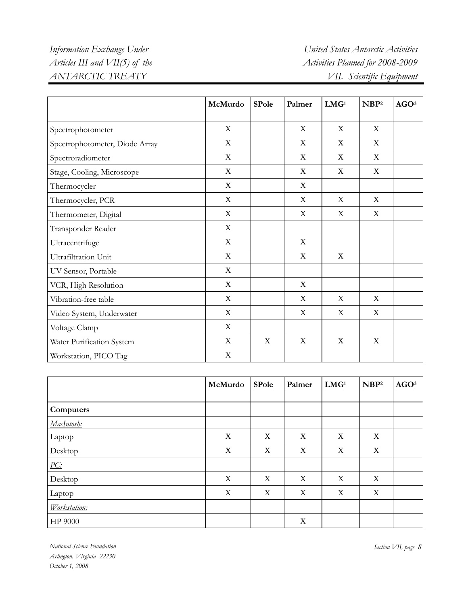### *Information Exchange Under United States Antarctic Activities Articles III and VII(5) of the* Activities Planned for 2008-2009 *ANTARCTIC TREATY VII. Scientific Equipment*

|                                | McMurdo                   | <b>SPole</b> | Palmer      | LMG <sup>1</sup> | NBP <sup>2</sup> | AGO <sup>3</sup> |
|--------------------------------|---------------------------|--------------|-------------|------------------|------------------|------------------|
| Spectrophotometer              | X                         |              | X           | X                | X                |                  |
| Spectrophotometer, Diode Array | $\mathbf X$               |              | $\mathbf X$ | $\mathbf X$      | $\mathbf X$      |                  |
| Spectroradiometer              | $\mathbf X$               |              | X           | X                | $\mathbf X$      |                  |
| Stage, Cooling, Microscope     | X                         |              | X           | X                | $\mathbf X$      |                  |
| Thermocycler                   | $\mathbf X$               |              | $\mathbf X$ |                  |                  |                  |
| Thermocycler, PCR              | $\mathbf X$               |              | X           | X                | X                |                  |
| Thermometer, Digital           | X                         |              | X           | X                | X                |                  |
| Transponder Reader             | X                         |              |             |                  |                  |                  |
| Ultracentrifuge                | $\mathbf X$               |              | $\mathbf X$ |                  |                  |                  |
| Ultrafiltration Unit           | X                         |              | X           | X                |                  |                  |
| UV Sensor, Portable            | X                         |              |             |                  |                  |                  |
| VCR, High Resolution           | $\mathbf X$               |              | X           |                  |                  |                  |
| Vibration-free table           | $\mathbf X$               |              | X           | X                | X                |                  |
| Video System, Underwater       | $\boldsymbol{\mathrm{X}}$ |              | $\mathbf X$ | X                | $\mathbf X$      |                  |
| Voltage Clamp                  | $\mathbf X$               |              |             |                  |                  |                  |
| Water Purification System      | $\mathbf X$               | X            | $\mathbf X$ | $\mathbf X$      | $\mathbf X$      |                  |
| Workstation, PICO Tag          | $\boldsymbol{\mathrm{X}}$ |              |             |                  |                  |                  |

|                   | McMurdo                   | <b>SPole</b> | Palmer      | LMG <sup>1</sup> | NBP <sup>2</sup> | AGO <sup>3</sup> |
|-------------------|---------------------------|--------------|-------------|------------------|------------------|------------------|
|                   |                           |              |             |                  |                  |                  |
| Computers         |                           |              |             |                  |                  |                  |
| MacIntosh:        |                           |              |             |                  |                  |                  |
| Laptop            | X                         | X            | X           | X                | X                |                  |
| Desktop           | $\boldsymbol{\mathrm{X}}$ | X            | X           | X                | X                |                  |
| $\underline{PC:}$ |                           |              |             |                  |                  |                  |
| Desktop           | $\mathbf X$               | $\mathbf X$  | X           | X                | $\mathbf X$      |                  |
| Laptop            | X                         | X            | X           | X                | X                |                  |
| Workstation:      |                           |              |             |                  |                  |                  |
| HP 9000           |                           |              | $\mathbf X$ |                  |                  |                  |

*National Science Foundation Section VII, page 8 Arlington, Virginia 22230 October 1, 2008*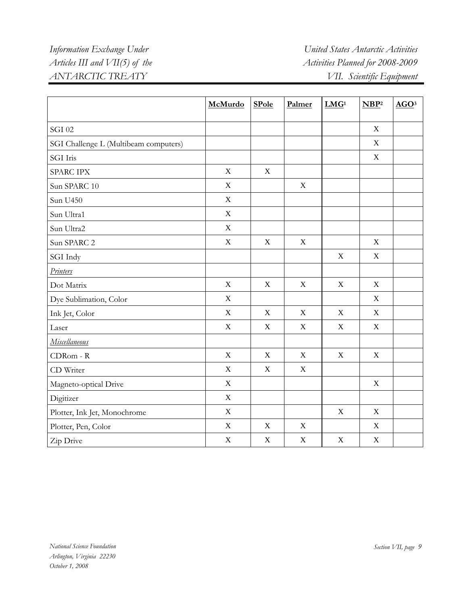|                                       | McMurdo     | <b>SPole</b> | Palmer      | LMG <sup>1</sup> | NBP <sup>2</sup> | AGO <sup>3</sup> |
|---------------------------------------|-------------|--------------|-------------|------------------|------------------|------------------|
|                                       |             |              |             |                  |                  |                  |
| <b>SGI 02</b>                         |             |              |             |                  | $\mathbf X$      |                  |
| SGI Challenge L (Multibeam computers) |             |              |             |                  | $\mathbf X$      |                  |
| SGI Iris                              |             |              |             |                  | $\mathbf X$      |                  |
| SPARC IPX                             | $\mathbf X$ | $\mathbf X$  |             |                  |                  |                  |
| Sun SPARC 10                          | $\mathbf X$ |              | $\mathbf X$ |                  |                  |                  |
| Sun U450                              | X           |              |             |                  |                  |                  |
| Sun Ultra1                            | $\mathbf X$ |              |             |                  |                  |                  |
| Sun Ultra2                            | X           |              |             |                  |                  |                  |
| Sun SPARC 2                           | $\mathbf X$ | $\mathbf X$  | $\mathbf X$ |                  | $\mathbf X$      |                  |
| SGI Indy                              |             |              |             | $\mathbf X$      | $\mathbf X$      |                  |
| <b>Printers</b>                       |             |              |             |                  |                  |                  |
| Dot Matrix                            | X           | $\mathbf X$  | $\mathbf X$ | $\mathbf X$      | $\mathbf X$      |                  |
| Dye Sublimation, Color                | $\mathbf X$ |              |             |                  | $\mathbf X$      |                  |
| Ink Jet, Color                        | $\mathbf X$ | $\mathbf X$  | $\mathbf X$ | X                | $\mathbf X$      |                  |
| Laser                                 | $\mathbf X$ | $\mathbf X$  | $\mathbf X$ | $\mathbf X$      | $\mathbf X$      |                  |
| <b>Miscellaneous</b>                  |             |              |             |                  |                  |                  |
| CDRom - R                             | $\mathbf X$ | $\mathbf X$  | $\mathbf X$ | $\mathbf X$      | $\mathbf X$      |                  |
| CD Writer                             | $\mathbf X$ | X            | $\mathbf X$ |                  |                  |                  |
| Magneto-optical Drive                 | $\mathbf X$ |              |             |                  | $\mathbf X$      |                  |
| Digitizer                             | $\mathbf X$ |              |             |                  |                  |                  |
| Plotter, Ink Jet, Monochrome          | $\mathbf X$ |              |             | $\mathbf X$      | $\mathbf X$      |                  |
| Plotter, Pen, Color                   | $\mathbf X$ | $\mathbf X$  | $\mathbf X$ |                  | $\mathbf X$      |                  |
| Zip Drive                             | $\mathbf X$ | $\mathbf X$  | $\mathbf X$ | $\mathbf X$      | $\mathbf X$      |                  |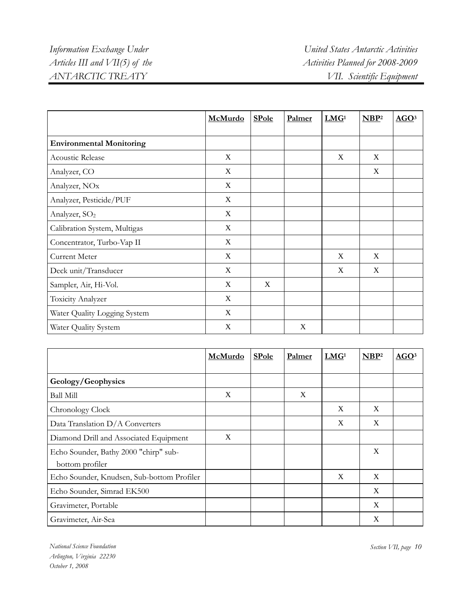|                                 | McMurdo     | <b>SPole</b> | Palmer | LMG <sup>1</sup> | NBP <sup>2</sup> | AGO <sup>3</sup> |
|---------------------------------|-------------|--------------|--------|------------------|------------------|------------------|
|                                 |             |              |        |                  |                  |                  |
| <b>Environmental Monitoring</b> |             |              |        |                  |                  |                  |
| <b>Acoustic Release</b>         | X           |              |        | X                | X                |                  |
| Analyzer, CO                    | X           |              |        |                  | X                |                  |
| Analyzer, NO <sub>x</sub>       | X           |              |        |                  |                  |                  |
| Analyzer, Pesticide/PUF         | X           |              |        |                  |                  |                  |
| Analyzer, SO <sub>2</sub>       | X           |              |        |                  |                  |                  |
| Calibration System, Multigas    | X           |              |        |                  |                  |                  |
| Concentrator, Turbo-Vap II      | $\mathbf X$ |              |        |                  |                  |                  |
| Current Meter                   | X           |              |        | X                | X                |                  |
| Deck unit/Transducer            | X           |              |        | X                | $\mathbf X$      |                  |
| Sampler, Air, Hi-Vol.           | X           | X            |        |                  |                  |                  |
| Toxicity Analyzer               | X           |              |        |                  |                  |                  |
| Water Quality Logging System    | X           |              |        |                  |                  |                  |
| Water Quality System            | X           |              | X      |                  |                  |                  |

|                                                          | McMurdo | <b>SPole</b> | Palmer | LMG <sup>1</sup> | NBP <sup>2</sup> | AGO <sup>3</sup> |
|----------------------------------------------------------|---------|--------------|--------|------------------|------------------|------------------|
|                                                          |         |              |        |                  |                  |                  |
| Geology/Geophysics                                       |         |              |        |                  |                  |                  |
| Ball Mill                                                | X       |              | X      |                  |                  |                  |
| Chronology Clock                                         |         |              |        | X                | X                |                  |
| Data Translation D/A Converters                          |         |              |        | X                | X                |                  |
| Diamond Drill and Associated Equipment                   | X       |              |        |                  |                  |                  |
| Echo Sounder, Bathy 2000 "chirp" sub-<br>bottom profiler |         |              |        |                  | X                |                  |
| Echo Sounder, Knudsen, Sub-bottom Profiler               |         |              |        | X                | X                |                  |
| Echo Sounder, Simrad EK500                               |         |              |        |                  | X                |                  |
| Gravimeter, Portable                                     |         |              |        |                  | X                |                  |
| Gravimeter, Air-Sea                                      |         |              |        |                  | X                |                  |

*National Science Foundation Section VII, page 10 Arlington, Virginia 22230 October 1, 2008*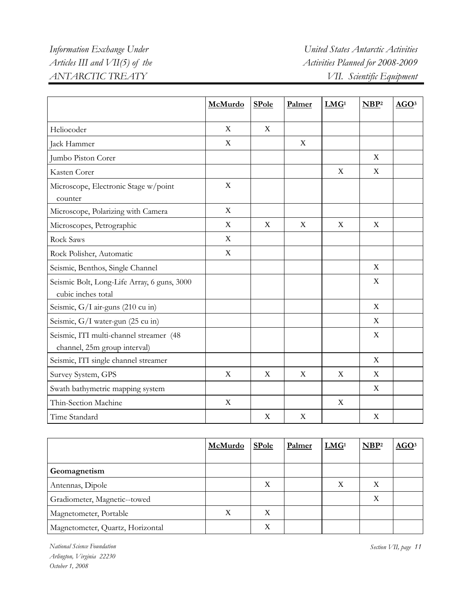|                                                                         | McMurdo                   | <b>SPole</b> | Palmer      | LMG <sup>1</sup> | NBP <sup>2</sup>          | AGO <sup>3</sup> |
|-------------------------------------------------------------------------|---------------------------|--------------|-------------|------------------|---------------------------|------------------|
| Heliocoder                                                              | $\mathbf X$               | X            |             |                  |                           |                  |
| Jack Hammer                                                             | X                         |              | X           |                  |                           |                  |
| Jumbo Piston Corer                                                      |                           |              |             |                  | X                         |                  |
| Kasten Corer                                                            |                           |              |             | X                | $\boldsymbol{\mathrm{X}}$ |                  |
| Microscope, Electronic Stage w/point<br>counter                         | $\mathbf X$               |              |             |                  |                           |                  |
| Microscope, Polarizing with Camera                                      | X                         |              |             |                  |                           |                  |
| Microscopes, Petrographic                                               | $\boldsymbol{\mathrm{X}}$ | X            | $\mathbf X$ | $\mathbf X$      | $\boldsymbol{\mathrm{X}}$ |                  |
| <b>Rock Saws</b>                                                        | X                         |              |             |                  |                           |                  |
| Rock Polisher, Automatic                                                | X                         |              |             |                  |                           |                  |
| Seismic, Benthos, Single Channel                                        |                           |              |             |                  | X                         |                  |
| Seismic Bolt, Long-Life Array, 6 guns, 3000<br>cubic inches total       |                           |              |             |                  | X                         |                  |
| Seismic, G/I air-guns (210 cu in)                                       |                           |              |             |                  | X                         |                  |
| Seismic, G/I water-gun (25 cu in)                                       |                           |              |             |                  | X                         |                  |
| Seismic, ITI multi-channel streamer (48<br>channel, 25m group interval) |                           |              |             |                  | X                         |                  |
| Seismic, ITI single channel streamer                                    |                           |              |             |                  | $\boldsymbol{\mathrm{X}}$ |                  |
| Survey System, GPS                                                      | $\mathbf X$               | $\mathbf X$  | $\mathbf X$ | $\mathbf X$      | $\boldsymbol{\mathrm{X}}$ |                  |
| Swath bathymetric mapping system                                        |                           |              |             |                  | X                         |                  |
| Thin-Section Machine                                                    | $\mathbf X$               |              |             | X                |                           |                  |
| Time Standard                                                           |                           | X            | X           |                  | $\mathbf X$               |                  |

|                                  | McMurdo | <b>SPole</b> | Palmer | LMG <sup>1</sup> | NBP <sup>2</sup> | AGO <sup>3</sup> |
|----------------------------------|---------|--------------|--------|------------------|------------------|------------------|
| Geomagnetism                     |         |              |        |                  |                  |                  |
| Antennas, Dipole                 |         | X            |        | X                | X                |                  |
| Gradiometer, Magnetic--towed     |         |              |        |                  | X                |                  |
| Magnetometer, Portable           | X       | X            |        |                  |                  |                  |
| Magnetometer, Quartz, Horizontal |         | X            |        |                  |                  |                  |

*National Science Foundation Section VII, page 11 Arlington, Virginia 22230 October 1, 2008*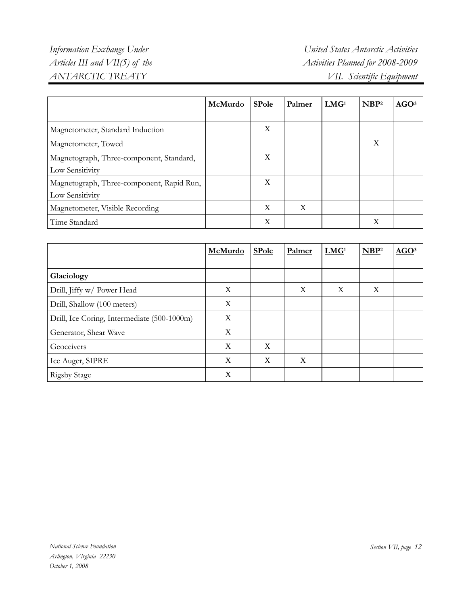|                                                              | McMurdo | <b>SPole</b> | Palmer | LMG <sup>1</sup> | NBP <sup>2</sup> | AGO <sup>3</sup> |
|--------------------------------------------------------------|---------|--------------|--------|------------------|------------------|------------------|
| Magnetometer, Standard Induction                             |         | X            |        |                  |                  |                  |
| Magnetometer, Towed                                          |         |              |        |                  | X                |                  |
| Magnetograph, Three-component, Standard,<br>Low Sensitivity  |         | X            |        |                  |                  |                  |
| Magnetograph, Three-component, Rapid Run,<br>Low Sensitivity |         | X            |        |                  |                  |                  |
| Magnetometer, Visible Recording                              |         | X            | X      |                  |                  |                  |
| Time Standard                                                |         | X            |        |                  | X                |                  |

|                                             | McMurdo | <b>SPole</b> | Palmer | LMG <sup>1</sup> | NBP <sup>2</sup> | AGO <sup>3</sup> |
|---------------------------------------------|---------|--------------|--------|------------------|------------------|------------------|
| Glaciology                                  |         |              |        |                  |                  |                  |
|                                             |         |              |        |                  |                  |                  |
| Drill, Jiffy w/ Power Head                  | X       |              | X      | X                | X                |                  |
| Drill, Shallow (100 meters)                 | X       |              |        |                  |                  |                  |
| Drill, Ice Coring, Intermediate (500-1000m) | X       |              |        |                  |                  |                  |
| Generator, Shear Wave                       | X       |              |        |                  |                  |                  |
| Geoceivers                                  | X       | X            |        |                  |                  |                  |
| Ice Auger, SIPRE                            | X       | X            | X      |                  |                  |                  |
| <b>Rigsby Stage</b>                         | X       |              |        |                  |                  |                  |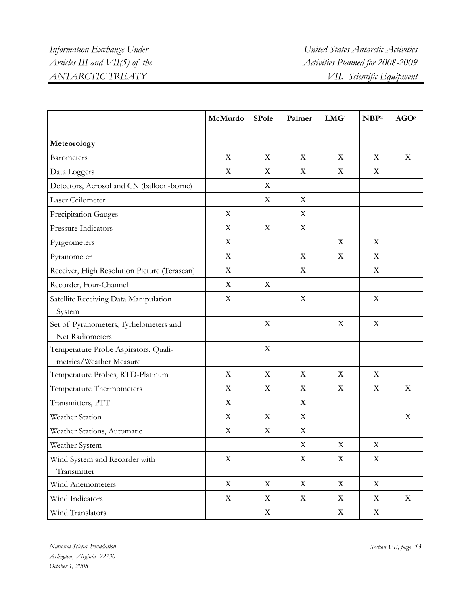|                                                                 | McMurdo                   | <b>SPole</b>     | Palmer                    | LMG <sup>1</sup> | NBP <sup>2</sup> | AGO <sup>3</sup> |
|-----------------------------------------------------------------|---------------------------|------------------|---------------------------|------------------|------------------|------------------|
| Meteorology                                                     |                           |                  |                           |                  |                  |                  |
| <b>Barometers</b>                                               | X                         | X                | X                         | X                | X                | X                |
| Data Loggers                                                    | $\mathbf X$               | X                | X                         | X                | X                |                  |
| Detectors, Aerosol and CN (balloon-borne)                       |                           | X                |                           |                  |                  |                  |
| Laser Ceilometer                                                |                           | X                | X                         |                  |                  |                  |
| Precipitation Gauges                                            | $\mathbf X$               |                  | X                         |                  |                  |                  |
| Pressure Indicators                                             | $\mathbf X$               | X                | $\mathbf X$               |                  |                  |                  |
| Pyrgeometers                                                    | X                         |                  |                           | X                | X                |                  |
| Pyranometer                                                     | $\mathbf X$               |                  | X                         | X                | X                |                  |
| Receiver, High Resolution Picture (Terascan)                    | X                         |                  | X                         |                  | $\mathbf X$      |                  |
| Recorder, Four-Channel                                          | $\mathbf X$               | X                |                           |                  |                  |                  |
| Satellite Receiving Data Manipulation<br>System                 | $\boldsymbol{\mathrm{X}}$ |                  | $\boldsymbol{X}$          |                  | X                |                  |
| Set of Pyranometers, Tyrhelometers and<br>Net Radiometers       |                           | X                |                           | X                | X                |                  |
| Temperature Probe Aspirators, Quali-<br>metrics/Weather Measure |                           | $\boldsymbol{X}$ |                           |                  |                  |                  |
| Temperature Probes, RTD-Platinum                                | X                         | X                | X                         | X                | X                |                  |
| Temperature Thermometers                                        | $\mathbf X$               | X                | $\mathbf X$               | X                | X                | X                |
| Transmitters, PTT                                               | $\mathbf X$               |                  | $\mathbf X$               |                  |                  |                  |
| Weather Station                                                 | X                         | X                | $\mathbf X$               |                  |                  | X                |
| Weather Stations, Automatic                                     | X                         | X                | $\mathbf X$               |                  |                  |                  |
| Weather System                                                  |                           |                  | X                         | X                | $\boldsymbol{X}$ |                  |
| Wind System and Recorder with<br>Transmitter                    | $\mathbf X$               |                  | $\boldsymbol{\mathrm{X}}$ | $\mathbf X$      | $\mathbf X$      |                  |
| Wind Anemometers                                                | X                         | X                | X                         | X                | X                |                  |
| Wind Indicators                                                 | X                         | X                | $\mathbf X$               | X                | $\mathbf X$      | $\mathbf X$      |
| Wind Translators                                                |                           | X                |                           | X                | $\mathbf X$      |                  |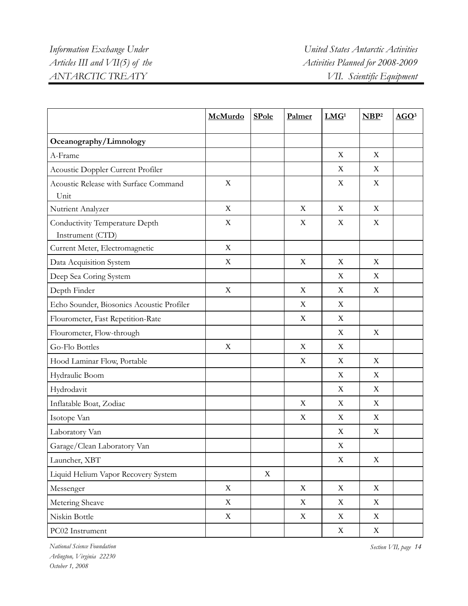|                                                    | McMurdo                   | <b>SPole</b> | Palmer      | LMG <sup>1</sup>          | NBP <sup>2</sup> | AGO <sup>3</sup> |
|----------------------------------------------------|---------------------------|--------------|-------------|---------------------------|------------------|------------------|
| Oceanography/Limnology                             |                           |              |             |                           |                  |                  |
| A-Frame                                            |                           |              |             | X                         | X                |                  |
| Acoustic Doppler Current Profiler                  |                           |              |             | X                         | X                |                  |
| Acoustic Release with Surface Command<br>Unit      | X                         |              |             | X                         | X                |                  |
| Nutrient Analyzer                                  | X                         |              | $\mathbf X$ | X                         | $\mathbf X$      |                  |
| Conductivity Temperature Depth<br>Instrument (CTD) | $\mathbf X$               |              | X           | $\mathbf X$               | $\mathbf X$      |                  |
| Current Meter, Electromagnetic                     | X                         |              |             |                           |                  |                  |
| Data Acquisition System                            | $\mathbf X$               |              | X           | X                         | X                |                  |
| Deep Sea Coring System                             |                           |              |             | X                         | X                |                  |
| Depth Finder                                       | $\mathbf X$               |              | $\mathbf X$ | $\mathbf X$               | $\mathbf X$      |                  |
| Echo Sounder, Biosonics Acoustic Profiler          |                           |              | $\mathbf X$ | X                         |                  |                  |
| Flourometer, Fast Repetition-Rate                  |                           |              | $\mathbf X$ | X                         |                  |                  |
| Flourometer, Flow-through                          |                           |              |             | X                         | X                |                  |
| Go-Flo Bottles                                     | $\boldsymbol{\mathrm{X}}$ |              | X           | X                         |                  |                  |
| Hood Laminar Flow, Portable                        |                           |              | X           | X                         | $\mathbf X$      |                  |
| Hydraulic Boom                                     |                           |              |             | X                         | X                |                  |
| Hydrodavit                                         |                           |              |             | X                         | X                |                  |
| Inflatable Boat, Zodiac                            |                           |              | X           | X                         | X                |                  |
| Isotope Van                                        |                           |              | X           | X                         | X                |                  |
| Laboratory Van                                     |                           |              |             | X                         | $\mathbf X$      |                  |
| Garage/Clean Laboratory Van                        |                           |              |             | X                         |                  |                  |
| Launcher, XBT                                      |                           |              |             | $\mathbf X$               | $\mathbf X$      |                  |
| Liquid Helium Vapor Recovery System                |                           | $\mathbf X$  |             |                           |                  |                  |
| Messenger                                          | $\mathbf X$               |              | $\mathbf X$ | $\mathbf X$               | $\mathbf X$      |                  |
| Metering Sheave                                    | $\boldsymbol{\mathrm{X}}$ |              | $\mathbf X$ | $\mathbf X$               | $\mathbf X$      |                  |
| Niskin Bottle                                      | $\mathbf X$               |              | $\mathbf X$ | $\boldsymbol{\mathrm{X}}$ | $\mathbf X$      |                  |
| PC02 Instrument                                    |                           |              |             | $\mathbf X$               | $\mathbf X$      |                  |

*National Science Foundation Section VII, page 14 Arlington, Virginia 22230 October 1, 2008*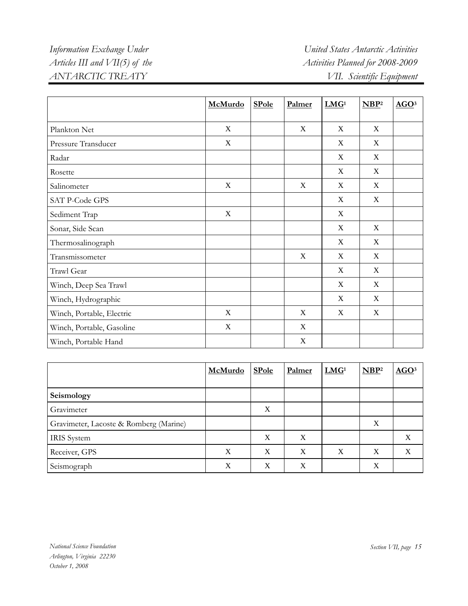|                           | McMurdo     | <b>SPole</b> | Palmer      | LMG <sup>1</sup> | NBP <sup>2</sup> | AGO <sup>3</sup> |
|---------------------------|-------------|--------------|-------------|------------------|------------------|------------------|
|                           |             |              |             |                  |                  |                  |
| Plankton Net              | $\mathbf X$ |              | $\mathbf X$ | X                | X                |                  |
| Pressure Transducer       | X           |              |             | X                | X                |                  |
| Radar                     |             |              |             | X                | X                |                  |
| Rosette                   |             |              |             | X                | X                |                  |
| Salinometer               | X           |              | $\mathbf X$ | X                | X                |                  |
| SAT P-Code GPS            |             |              |             | X                | X                |                  |
| Sediment Trap             | X           |              |             | X                |                  |                  |
| Sonar, Side Scan          |             |              |             | $\mathbf X$      | $\mathbf X$      |                  |
| Thermosalinograph         |             |              |             | X                | X                |                  |
| Transmissometer           |             |              | $\mathbf X$ | X                | X                |                  |
| Trawl Gear                |             |              |             | $\boldsymbol{X}$ | X                |                  |
| Winch, Deep Sea Trawl     |             |              |             | X                | $\mathbf X$      |                  |
| Winch, Hydrographic       |             |              |             | X                | X                |                  |
| Winch, Portable, Electric | $\mathbf X$ |              | $\mathbf X$ | X                | X                |                  |
| Winch, Portable, Gasoline | $\mathbf X$ |              | X           |                  |                  |                  |
| Winch, Portable Hand      |             |              | X           |                  |                  |                  |

|                                        | McMurdo | <b>SPole</b> | Palmer           | LMG <sup>1</sup> | NBP <sup>2</sup> | AGO <sup>3</sup> |
|----------------------------------------|---------|--------------|------------------|------------------|------------------|------------------|
|                                        |         |              |                  |                  |                  |                  |
| Seismology                             |         |              |                  |                  |                  |                  |
| Gravimeter                             |         | X            |                  |                  |                  |                  |
| Gravimeter, Lacoste & Romberg (Marine) |         |              |                  |                  | X                |                  |
| <b>IRIS</b> System                     |         | X            | $\boldsymbol{X}$ |                  |                  | X                |
| Receiver, GPS                          | X       | X            | X                | X                | X                | X                |
| Seismograph                            | X       | X            | X                |                  | X                |                  |